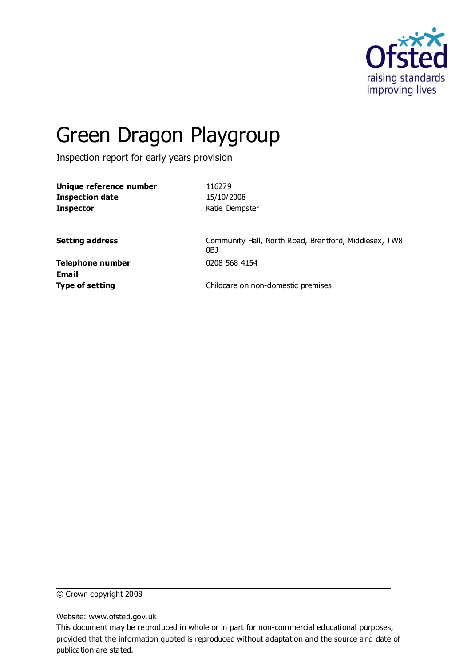

# Green Dragon Playgroup

Inspection report for early years provision

| Unique reference number<br><b>Inspection date</b><br><b>Inspector</b> | 116279<br>15/10/2008<br>Katie Dempster                       |
|-----------------------------------------------------------------------|--------------------------------------------------------------|
| <b>Setting address</b>                                                | Community Hall, North Road, Brentford, Middlesex, TW8<br>0BJ |
| Telephone number<br>Email                                             | 0208 568 4154                                                |
| <b>Type of setting</b>                                                | Childcare on non-domestic premises                           |

© Crown copyright 2008

Website: www.ofsted.gov.uk

This document may be reproduced in whole or in part for non-commercial educational purposes, provided that the information quoted is reproduced without adaptation and the source and date of publication are stated.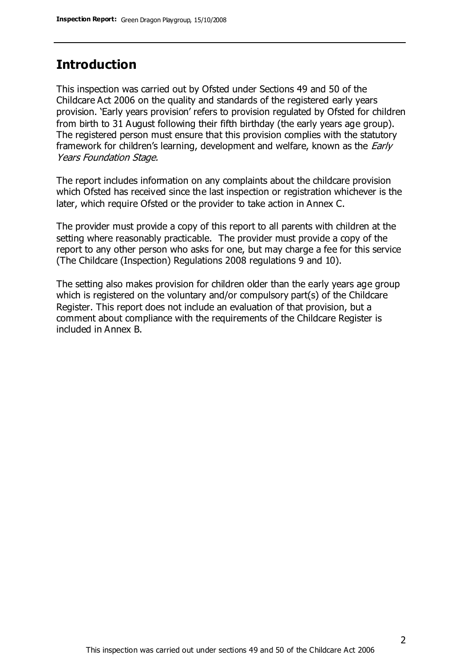### **Introduction**

This inspection was carried out by Ofsted under Sections 49 and 50 of the Childcare Act 2006 on the quality and standards of the registered early years provision. 'Early years provision' refers to provision regulated by Ofsted for children from birth to 31 August following their fifth birthday (the early years age group). The registered person must ensure that this provision complies with the statutory framework for children's learning, development and welfare, known as the *Early* Years Foundation Stage.

The report includes information on any complaints about the childcare provision which Ofsted has received since the last inspection or registration whichever is the later, which require Ofsted or the provider to take action in Annex C.

The provider must provide a copy of this report to all parents with children at the setting where reasonably practicable. The provider must provide a copy of the report to any other person who asks for one, but may charge a fee for this service (The Childcare (Inspection) Regulations 2008 regulations 9 and 10).

The setting also makes provision for children older than the early years age group which is registered on the voluntary and/or compulsory part(s) of the Childcare Register. This report does not include an evaluation of that provision, but a comment about compliance with the requirements of the Childcare Register is included in Annex B.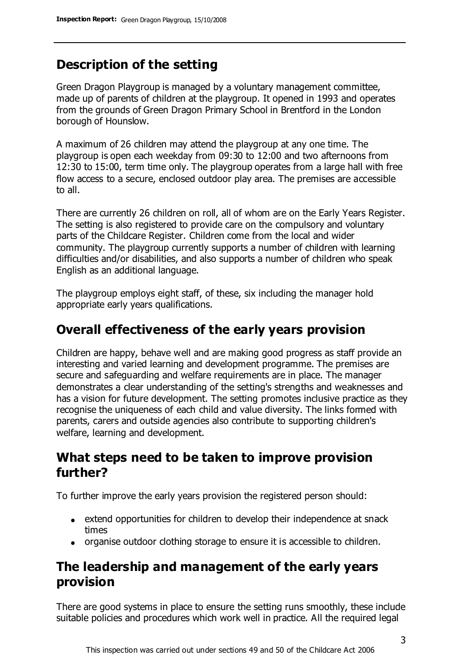# **Description of the setting**

Green Dragon Playgroup is managed by a voluntary management committee, made up of parents of children at the playgroup. It opened in 1993 and operates from the grounds of Green Dragon Primary School in Brentford in the London borough of Hounslow.

A maximum of 26 children may attend the playgroup at any one time. The playgroup is open each weekday from 09:30 to 12:00 and two afternoons from 12:30 to 15:00, term time only. The playgroup operates from a large hall with free flow access to a secure, enclosed outdoor play area. The premises are accessible to all.

There are currently 26 children on roll, all of whom are on the Early Years Register. The setting is also registered to provide care on the compulsory and voluntary parts of the Childcare Register. Children come from the local and wider community. The playgroup currently supports a number of children with learning difficulties and/or disabilities, and also supports a number of children who speak English as an additional language.

The playgroup employs eight staff, of these, six including the manager hold appropriate early years qualifications.

### **Overall effectiveness of the early years provision**

Children are happy, behave well and are making good progress as staff provide an interesting and varied learning and development programme. The premises are secure and safeguarding and welfare requirements are in place. The manager demonstrates a clear understanding of the setting's strengths and weaknesses and has a vision for future development. The setting promotes inclusive practice as they recognise the uniqueness of each child and value diversity. The links formed with parents, carers and outside agencies also contribute to supporting children's welfare, learning and development.

### **What steps need to be taken to improve provision further?**

To further improve the early years provision the registered person should:

- extend opportunities for children to develop their independence at snack times
- organise outdoor clothing storage to ensure it is accessible to children.

## **The leadership and management of the early years provision**

There are good systems in place to ensure the setting runs smoothly, these include suitable policies and procedures which work well in practice. All the required legal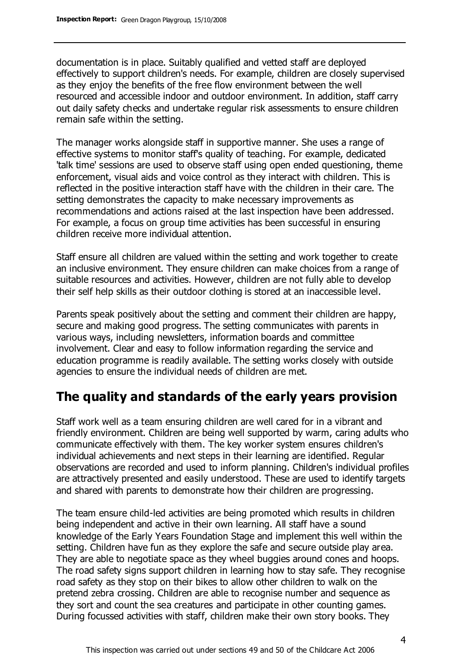documentation is in place. Suitably qualified and vetted staff are deployed effectively to support children's needs. For example, children are closely supervised as they enjoy the benefits of the free flow environment between the well resourced and accessible indoor and outdoor environment. In addition, staff carry out daily safety checks and undertake regular risk assessments to ensure children remain safe within the setting.

The manager works alongside staff in supportive manner. She uses a range of effective systems to monitor staff's quality of teaching. For example, dedicated 'talk time' sessions are used to observe staff using open ended questioning, theme enforcement, visual aids and voice control as they interact with children. This is reflected in the positive interaction staff have with the children in their care. The setting demonstrates the capacity to make necessary improvements as recommendations and actions raised at the last inspection have been addressed. For example, a focus on group time activities has been successful in ensuring children receive more individual attention.

Staff ensure all children are valued within the setting and work together to create an inclusive environment. They ensure children can make choices from a range of suitable resources and activities. However, children are not fully able to develop their self help skills as their outdoor clothing is stored at an inaccessible level.

Parents speak positively about the setting and comment their children are happy, secure and making good progress. The setting communicates with parents in various ways, including newsletters, information boards and committee involvement. Clear and easy to follow information regarding the service and education programme is readily available. The setting works closely with outside agencies to ensure the individual needs of children are met.

### **The quality and standards of the early years provision**

Staff work well as a team ensuring children are well cared for in a vibrant and friendly environment. Children are being well supported by warm, caring adults who communicate effectively with them. The key worker system ensures children's individual achievements and next steps in their learning are identified. Regular observations are recorded and used to inform planning. Children's individual profiles are attractively presented and easily understood. These are used to identify targets and shared with parents to demonstrate how their children are progressing.

The team ensure child-led activities are being promoted which results in children being independent and active in their own learning. All staff have a sound knowledge of the Early Years Foundation Stage and implement this well within the setting. Children have fun as they explore the safe and secure outside play area. They are able to negotiate space as they wheel buggies around cones and hoops. The road safety signs support children in learning how to stay safe. They recognise road safety as they stop on their bikes to allow other children to walk on the pretend zebra crossing. Children are able to recognise number and sequence as they sort and count the sea creatures and participate in other counting games. During focussed activities with staff, children make their own story books. They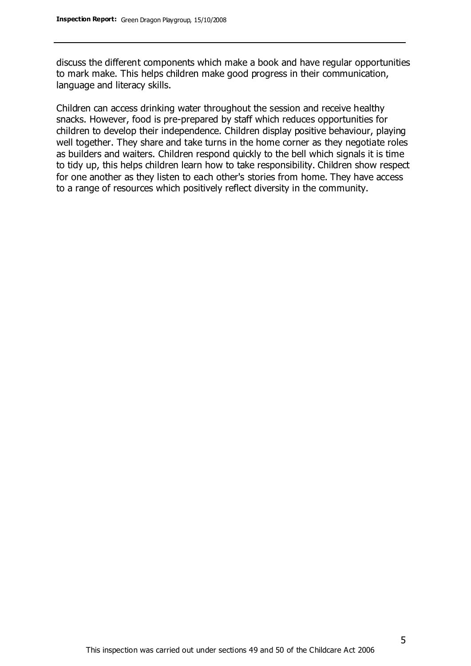discuss the different components which make a book and have regular opportunities to mark make. This helps children make good progress in their communication, language and literacy skills.

Children can access drinking water throughout the session and receive healthy snacks. However, food is pre-prepared by staff which reduces opportunities for children to develop their independence. Children display positive behaviour, playing well together. They share and take turns in the home corner as they negotiate roles as builders and waiters. Children respond quickly to the bell which signals it is time to tidy up, this helps children learn how to take responsibility. Children show respect for one another as they listen to each other's stories from home. They have access to a range of resources which positively reflect diversity in the community.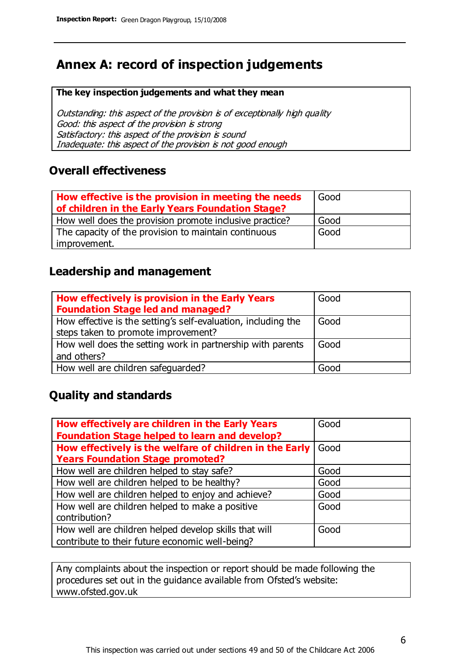### **Annex A: record of inspection judgements**

#### **The key inspection judgements and what they mean**

Outstanding: this aspect of the provision is of exceptionally high quality Good: this aspect of the provision is strong Satisfactory: this aspect of the provision is sound Inadequate: this aspect of the provision is not good enough

### **Overall effectiveness**

| How effective is the provision in meeting the needs<br>of children in the Early Years Foundation Stage? | Good |
|---------------------------------------------------------------------------------------------------------|------|
| How well does the provision promote inclusive practice?                                                 | Good |
| The capacity of the provision to maintain continuous                                                    | Good |
| improvement.                                                                                            |      |

### **Leadership and management**

| How effectively is provision in the Early Years<br><b>Foundation Stage led and managed?</b>          | Good |
|------------------------------------------------------------------------------------------------------|------|
| How effective is the setting's self-evaluation, including the<br>steps taken to promote improvement? | Good |
| How well does the setting work in partnership with parents<br>and others?                            | Good |
| How well are children safeguarded?                                                                   | Good |

### **Quality and standards**

| How effectively are children in the Early Years         | Good |
|---------------------------------------------------------|------|
| <b>Foundation Stage helped to learn and develop?</b>    |      |
| How effectively is the welfare of children in the Early | Good |
| <b>Years Foundation Stage promoted?</b>                 |      |
| How well are children helped to stay safe?              | Good |
| How well are children helped to be healthy?             | Good |
| How well are children helped to enjoy and achieve?      | Good |
| How well are children helped to make a positive         | Good |
| contribution?                                           |      |
| How well are children helped develop skills that will   | Good |
| contribute to their future economic well-being?         |      |

Any complaints about the inspection or report should be made following the procedures set out in the guidance available from Ofsted's website: www.ofsted.gov.uk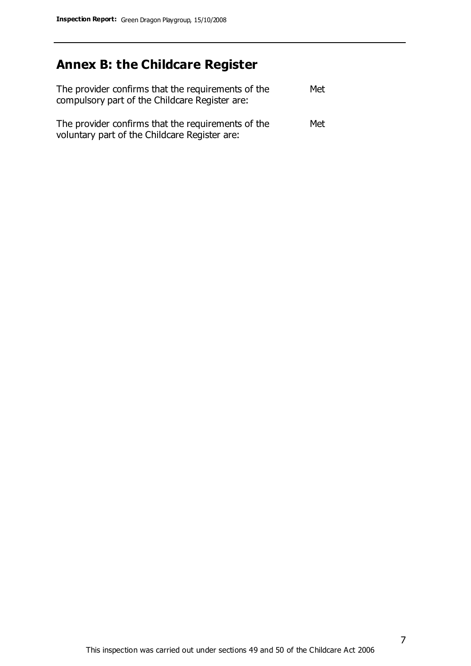# **Annex B: the Childcare Register**

| The provider confirms that the requirements of the<br>compulsory part of the Childcare Register are: | Met |
|------------------------------------------------------------------------------------------------------|-----|
| The provider confirms that the requirements of the<br>voluntary part of the Childcare Register are:  | Met |